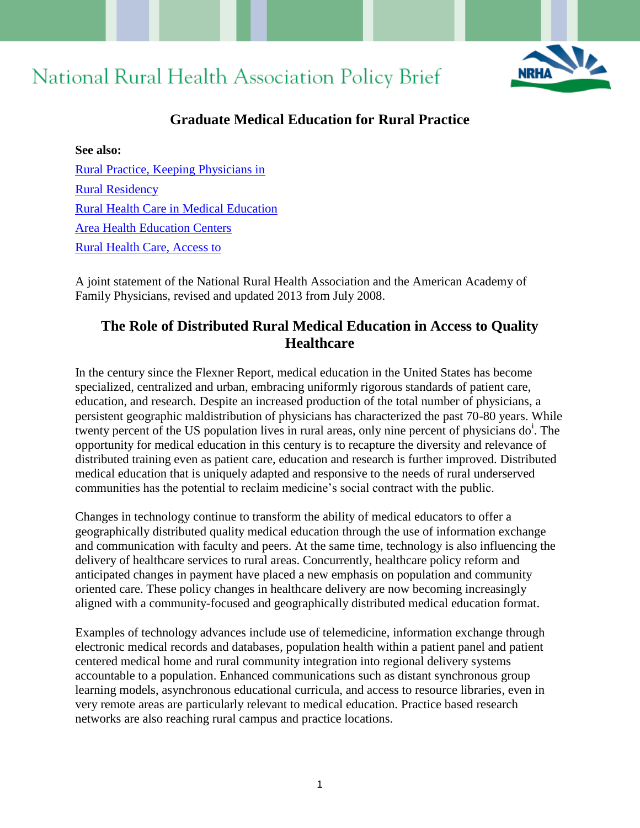# National Rural Health Association Policy Brief



# **Graduate Medical Education for Rural Practice**

**See also:** [Rural Practice, Keeping Physicians in](http://www.aafp.org/online/en/home/policy/policies/r/ruralpracticekeep.html) [Rural Residency](http://www.aafp.org/content/en/home/policy/policies/r/ruralresidencydefinition.html) [Rural Health Care in Medical Education](http://www.aafp.org/online/en/home/policy/policies/r/mededururalhealthcare.html) [Area Health Education Centers](http://www.aafp.org/online/en/home/policy/policies/a/ahec.html) [Rural Health Care, Access to](http://www.aafp.org/online/en/home/policy/policies/r/ruralhealthcareaccess.html)

A joint statement of the National Rural Health Association and the American Academy of Family Physicians, revised and updated 2013 from July 2008.

# **The Role of Distributed Rural Medical Education in Access to Quality Healthcare**

In the century since the Flexner Report, medical education in the United States has become specialized, centralized and urban, embracing uniformly rigorous standards of patient care, education, and research. Despite an increased production of the total number of physicians, a persistent geographic maldistribution of physicians has characterized the past 70-80 years. While twenty percent of the US population lives in rural areas, only nine percent of physicians do<sup>i</sup>. The opportunity for medical education in this century is to recapture the diversity and relevance of distributed training even as patient care, education and research is further improved. Distributed medical education that is uniquely adapted and responsive to the needs of rural underserved communities has the potential to reclaim medicine's social contract with the public.

Changes in technology continue to transform the ability of medical educators to offer a geographically distributed quality medical education through the use of information exchange and communication with faculty and peers. At the same time, technology is also influencing the delivery of healthcare services to rural areas. Concurrently, healthcare policy reform and anticipated changes in payment have placed a new emphasis on population and community oriented care. These policy changes in healthcare delivery are now becoming increasingly aligned with a community-focused and geographically distributed medical education format.

Examples of technology advances include use of telemedicine, information exchange through electronic medical records and databases, population health within a patient panel and patient centered medical home and rural community integration into regional delivery systems accountable to a population. Enhanced communications such as distant synchronous group learning models, asynchronous educational curricula, and access to resource libraries, even in very remote areas are particularly relevant to medical education. Practice based research networks are also reaching rural campus and practice locations.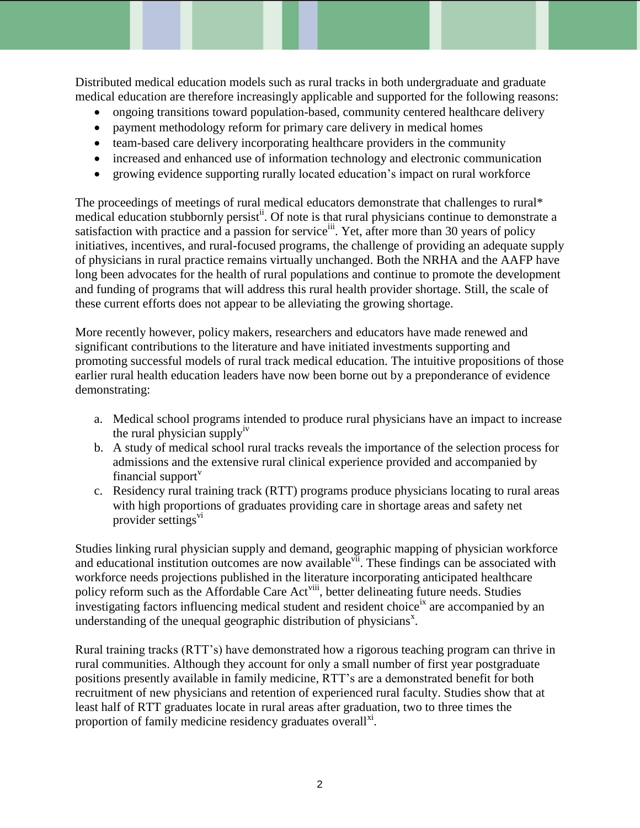Distributed medical education models such as rural tracks in both undergraduate and graduate medical education are therefore increasingly applicable and supported for the following reasons:

- ongoing transitions toward population-based, community centered healthcare delivery
- payment methodology reform for primary care delivery in medical homes
- team-based care delivery incorporating healthcare providers in the community
- increased and enhanced use of information technology and electronic communication
- growing evidence supporting rurally located education's impact on rural workforce

The proceedings of meetings of rural medical educators demonstrate that challenges to rural\* medical education stubbornly persist<sup>ii</sup>. Of note is that rural physicians continue to demonstrate a satisfaction with practice and a passion for service<sup>iii</sup>. Yet, after more than 30 years of policy initiatives, incentives, and rural-focused programs, the challenge of providing an adequate supply of physicians in rural practice remains virtually unchanged. Both the NRHA and the AAFP have long been advocates for the health of rural populations and continue to promote the development and funding of programs that will address this rural health provider shortage. Still, the scale of these current efforts does not appear to be alleviating the growing shortage.

More recently however, policy makers, researchers and educators have made renewed and significant contributions to the literature and have initiated investments supporting and promoting successful models of rural track medical education. The intuitive propositions of those earlier rural health education leaders have now been borne out by a preponderance of evidence demonstrating:

- a. Medical school programs intended to produce rural physicians have an impact to increase the rural physician supply<sup>iv</sup>
- b. A study of medical school rural tracks reveals the importance of the selection process for admissions and the extensive rural clinical experience provided and accompanied by financial support $<sup>v</sup>$ </sup>
- c. Residency rural training track (RTT) programs produce physicians locating to rural areas with high proportions of graduates providing care in shortage areas and safety net provider settings<sup>vi</sup>

Studies linking rural physician supply and demand, geographic mapping of physician workforce and educational institution outcomes are now available vii. These findings can be associated with workforce needs projections published in the literature incorporating anticipated healthcare policy reform such as the Affordable Care Act<sup>viii</sup>, better delineating future needs. Studies investigating factors influencing medical student and resident choice<sup>ix</sup> are accompanied by an understanding of the unequal geographic distribution of physicians<sup>x</sup>.

Rural training tracks (RTT's) have demonstrated how a rigorous teaching program can thrive in rural communities. Although they account for only a small number of first year postgraduate positions presently available in family medicine, RTT's are a demonstrated benefit for both recruitment of new physicians and retention of experienced rural faculty. Studies show that at least half of RTT graduates locate in rural areas after graduation, two to three times the proportion of family medicine residency graduates overall<sup>xi</sup>.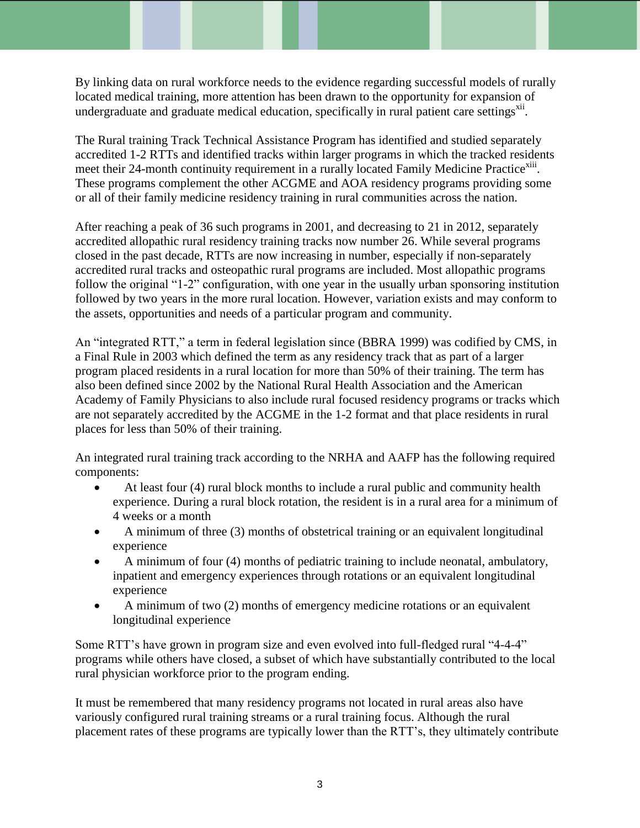By linking data on rural workforce needs to the evidence regarding successful models of rurally located medical training, more attention has been drawn to the opportunity for expansion of undergraduate and graduate medical education, specifically in rural patient care settings<sup>xii</sup>.

The Rural training Track Technical Assistance Program has identified and studied separately accredited 1-2 RTTs and identified tracks within larger programs in which the tracked residents meet their 24-month continuity requirement in a rurally located Family Medicine Practice<sup>xiii</sup>. These programs complement the other ACGME and AOA residency programs providing some or all of their family medicine residency training in rural communities across the nation.

After reaching a peak of 36 such programs in 2001, and decreasing to 21 in 2012, separately accredited allopathic rural residency training tracks now number 26. While several programs closed in the past decade, RTTs are now increasing in number, especially if non-separately accredited rural tracks and osteopathic rural programs are included. Most allopathic programs follow the original "1-2" configuration, with one year in the usually urban sponsoring institution followed by two years in the more rural location. However, variation exists and may conform to the assets, opportunities and needs of a particular program and community.

An "integrated RTT," a term in federal legislation since (BBRA 1999) was codified by CMS, in a Final Rule in 2003 which defined the term as any residency track that as part of a larger program placed residents in a rural location for more than 50% of their training. The term has also been defined since 2002 by the National Rural Health Association and the American Academy of Family Physicians to also include rural focused residency programs or tracks which are not separately accredited by the ACGME in the 1-2 format and that place residents in rural places for less than 50% of their training.

An integrated rural training track according to the NRHA and AAFP has the following required components:

- At least four (4) rural block months to include a rural public and community health experience. During a rural block rotation, the resident is in a rural area for a minimum of 4 weeks or a month
- A minimum of three (3) months of obstetrical training or an equivalent longitudinal experience
- A minimum of four (4) months of pediatric training to include neonatal, ambulatory, inpatient and emergency experiences through rotations or an equivalent longitudinal experience
- A minimum of two (2) months of emergency medicine rotations or an equivalent longitudinal experience

Some RTT's have grown in program size and even evolved into full-fledged rural "4-4-4" programs while others have closed, a subset of which have substantially contributed to the local rural physician workforce prior to the program ending.

It must be remembered that many residency programs not located in rural areas also have variously configured rural training streams or a rural training focus. Although the rural placement rates of these programs are typically lower than the RTT's, they ultimately contribute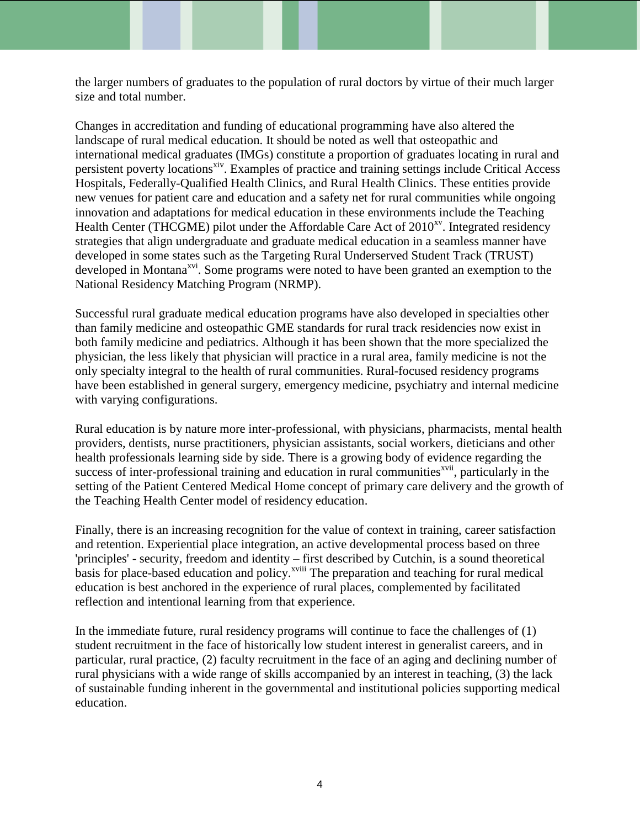the larger numbers of graduates to the population of rural doctors by virtue of their much larger size and total number.

Changes in accreditation and funding of educational programming have also altered the landscape of rural medical education. It should be noted as well that osteopathic and international medical graduates (IMGs) constitute a proportion of graduates locating in rural and persistent poverty locations<sup>xiv</sup>. Examples of practice and training settings include Critical Access Hospitals, Federally-Qualified Health Clinics, and Rural Health Clinics. These entities provide new venues for patient care and education and a safety net for rural communities while ongoing innovation and adaptations for medical education in these environments include the Teaching Health Center (THCGME) pilot under the Affordable Care Act of  $2010^{xy}$ . Integrated residency strategies that align undergraduate and graduate medical education in a seamless manner have developed in some states such as the Targeting Rural Underserved Student Track (TRUST) developed in Montana<sup>xvi</sup>. Some programs were noted to have been granted an exemption to the National Residency Matching Program (NRMP).

Successful rural graduate medical education programs have also developed in specialties other than family medicine and osteopathic GME standards for rural track residencies now exist in both family medicine and pediatrics. Although it has been shown that the more specialized the physician, the less likely that physician will practice in a rural area, family medicine is not the only specialty integral to the health of rural communities. Rural-focused residency programs have been established in general surgery, emergency medicine, psychiatry and internal medicine with varying configurations.

Rural education is by nature more inter-professional, with physicians, pharmacists, mental health providers, dentists, nurse practitioners, physician assistants, social workers, dieticians and other health professionals learning side by side. There is a growing body of evidence regarding the success of inter-professional training and education in rural communities<sup>xvii</sup>, particularly in the setting of the Patient Centered Medical Home concept of primary care delivery and the growth of the Teaching Health Center model of residency education.

Finally, there is an increasing recognition for the value of context in training, career satisfaction and retention. Experiential place integration, an active developmental process based on three 'principles' - security, freedom and identity – first described by Cutchin, is a sound theoretical basis for place-based education and policy.<sup>xviii</sup> The preparation and teaching for rural medical education is best anchored in the experience of rural places, complemented by facilitated reflection and intentional learning from that experience.

In the immediate future, rural residency programs will continue to face the challenges of (1) student recruitment in the face of historically low student interest in generalist careers, and in particular, rural practice, (2) faculty recruitment in the face of an aging and declining number of rural physicians with a wide range of skills accompanied by an interest in teaching, (3) the lack of sustainable funding inherent in the governmental and institutional policies supporting medical education.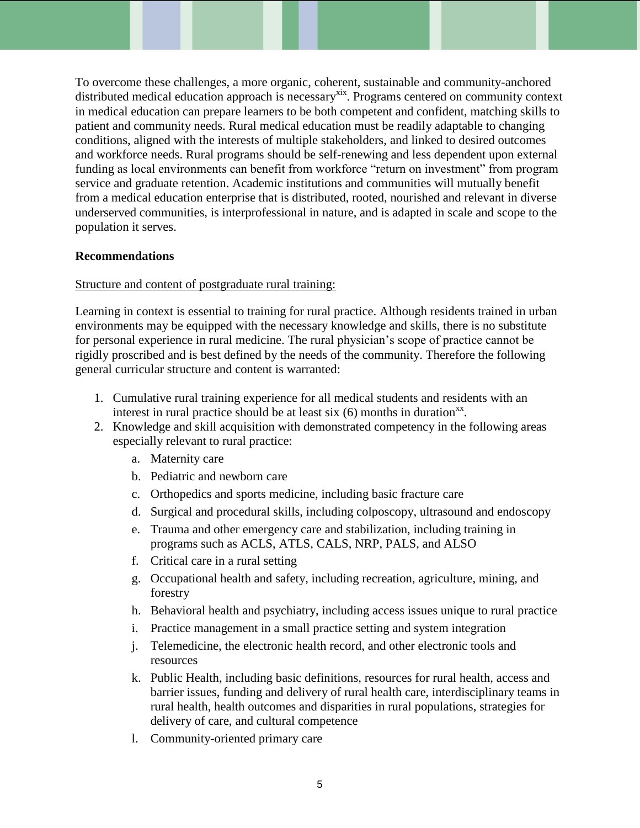To overcome these challenges, a more organic, coherent, sustainable and community-anchored distributed medical education approach is necessary<sup>xix</sup>. Programs centered on community context in medical education can prepare learners to be both competent and confident, matching skills to patient and community needs. Rural medical education must be readily adaptable to changing conditions, aligned with the interests of multiple stakeholders, and linked to desired outcomes and workforce needs. Rural programs should be self-renewing and less dependent upon external funding as local environments can benefit from workforce "return on investment" from program service and graduate retention. Academic institutions and communities will mutually benefit from a medical education enterprise that is distributed, rooted, nourished and relevant in diverse underserved communities, is interprofessional in nature, and is adapted in scale and scope to the population it serves.

#### **Recommendations**

#### Structure and content of postgraduate rural training:

Learning in context is essential to training for rural practice. Although residents trained in urban environments may be equipped with the necessary knowledge and skills, there is no substitute for personal experience in rural medicine. The rural physician's scope of practice cannot be rigidly proscribed and is best defined by the needs of the community. Therefore the following general curricular structure and content is warranted:

- 1. Cumulative rural training experience for all medical students and residents with an interest in rural practice should be at least six  $(6)$  months in duration<sup>xx</sup>.
- 2. Knowledge and skill acquisition with demonstrated competency in the following areas especially relevant to rural practice:
	- a. Maternity care
	- b. Pediatric and newborn care
	- c. Orthopedics and sports medicine, including basic fracture care
	- d. Surgical and procedural skills, including colposcopy, ultrasound and endoscopy
	- e. Trauma and other emergency care and stabilization, including training in programs such as ACLS, ATLS, CALS, NRP, PALS, and ALSO
	- f. Critical care in a rural setting
	- g. Occupational health and safety, including recreation, agriculture, mining, and forestry
	- h. Behavioral health and psychiatry, including access issues unique to rural practice
	- i. Practice management in a small practice setting and system integration
	- j. Telemedicine, the electronic health record, and other electronic tools and resources
	- k. Public Health, including basic definitions, resources for rural health, access and barrier issues, funding and delivery of rural health care, interdisciplinary teams in rural health, health outcomes and disparities in rural populations, strategies for delivery of care, and cultural competence
	- l. Community-oriented primary care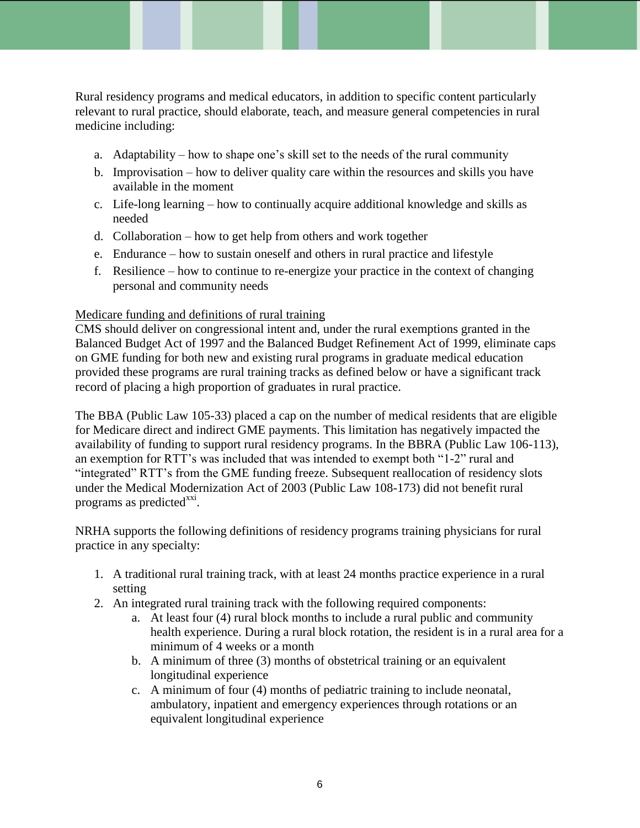Rural residency programs and medical educators, in addition to specific content particularly relevant to rural practice, should elaborate, teach, and measure general competencies in rural medicine including:

- a. Adaptability how to shape one's skill set to the needs of the rural community
- b. Improvisation how to deliver quality care within the resources and skills you have available in the moment
- c. Life-long learning how to continually acquire additional knowledge and skills as needed
- d. Collaboration how to get help from others and work together
- e. Endurance how to sustain oneself and others in rural practice and lifestyle
- f. Resilience how to continue to re-energize your practice in the context of changing personal and community needs

## Medicare funding and definitions of rural training

CMS should deliver on congressional intent and, under the rural exemptions granted in the Balanced Budget Act of 1997 and the Balanced Budget Refinement Act of 1999, eliminate caps on GME funding for both new and existing rural programs in graduate medical education provided these programs are rural training tracks as defined below or have a significant track record of placing a high proportion of graduates in rural practice.

The BBA (Public Law 105-33) placed a cap on the number of medical residents that are eligible for Medicare direct and indirect GME payments. This limitation has negatively impacted the availability of funding to support rural residency programs. In the BBRA (Public Law 106-113), an exemption for RTT's was included that was intended to exempt both "1-2" rural and "integrated" RTT's from the GME funding freeze. Subsequent reallocation of residency slots under the Medical Modernization Act of 2003 (Public Law 108-173) did not benefit rural programs as predicted<sup>xxi</sup>.

NRHA supports the following definitions of residency programs training physicians for rural practice in any specialty:

- 1. A traditional rural training track, with at least 24 months practice experience in a rural setting
- 2. An integrated rural training track with the following required components:
	- a. At least four (4) rural block months to include a rural public and community health experience. During a rural block rotation, the resident is in a rural area for a minimum of 4 weeks or a month
	- b. A minimum of three (3) months of obstetrical training or an equivalent longitudinal experience
	- c. A minimum of four (4) months of pediatric training to include neonatal, ambulatory, inpatient and emergency experiences through rotations or an equivalent longitudinal experience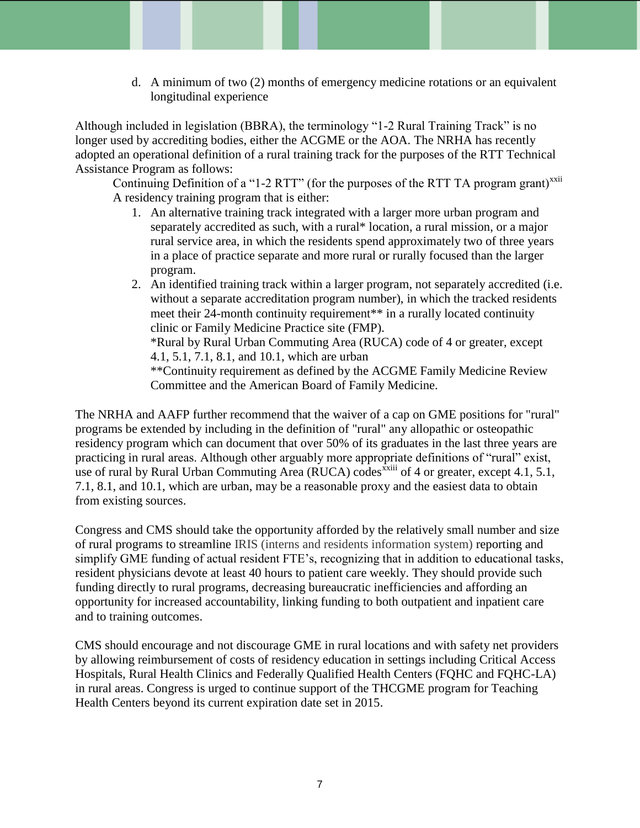d. A minimum of two (2) months of emergency medicine rotations or an equivalent longitudinal experience

Although included in legislation (BBRA), the terminology "1-2 Rural Training Track" is no longer used by accrediting bodies, either the ACGME or the AOA. The NRHA has recently adopted an operational definition of a rural training track for the purposes of the RTT Technical Assistance Program as follows:

Continuing Definition of a "1-2 RTT" (for the purposes of the RTT TA program grant)<sup> $x_{x11}$ </sup> A residency training program that is either:

- 1. An alternative training track integrated with a larger more urban program and separately accredited as such, with a rural\* location, a rural mission, or a major rural service area, in which the residents spend approximately two of three years in a place of practice separate and more rural or rurally focused than the larger program.
- 2. An identified training track within a larger program, not separately accredited (i.e. without a separate accreditation program number), in which the tracked residents meet their 24-month continuity requirement<sup>\*\*</sup> in a rurally located continuity clinic or Family Medicine Practice site (FMP). \*Rural by Rural Urban Commuting Area (RUCA) code of 4 or greater, except 4.1, 5.1, 7.1, 8.1, and 10.1, which are urban \*\*Continuity requirement as defined by the ACGME Family Medicine Review

Committee and the American Board of Family Medicine.

The NRHA and AAFP further recommend that the waiver of a cap on GME positions for "rural" programs be extended by including in the definition of "rural" any allopathic or osteopathic residency program which can document that over 50% of its graduates in the last three years are practicing in rural areas. Although other arguably more appropriate definitions of "rural" exist, use of rural by Rural Urban Commuting Area (RUCA) codes  $\frac{\dot{x}}{\dot{x}}$  of 4 or greater, except 4.1, 5.1, 7.1, 8.1, and 10.1, which are urban, may be a reasonable proxy and the easiest data to obtain from existing sources.

Congress and CMS should take the opportunity afforded by the relatively small number and size of rural programs to streamline IRIS (interns and residents information system) reporting and simplify GME funding of actual resident FTE's, recognizing that in addition to educational tasks, resident physicians devote at least 40 hours to patient care weekly. They should provide such funding directly to rural programs, decreasing bureaucratic inefficiencies and affording an opportunity for increased accountability, linking funding to both outpatient and inpatient care and to training outcomes.

CMS should encourage and not discourage GME in rural locations and with safety net providers by allowing reimbursement of costs of residency education in settings including Critical Access Hospitals, Rural Health Clinics and Federally Qualified Health Centers (FQHC and FQHC-LA) in rural areas. Congress is urged to continue support of the THCGME program for Teaching Health Centers beyond its current expiration date set in 2015.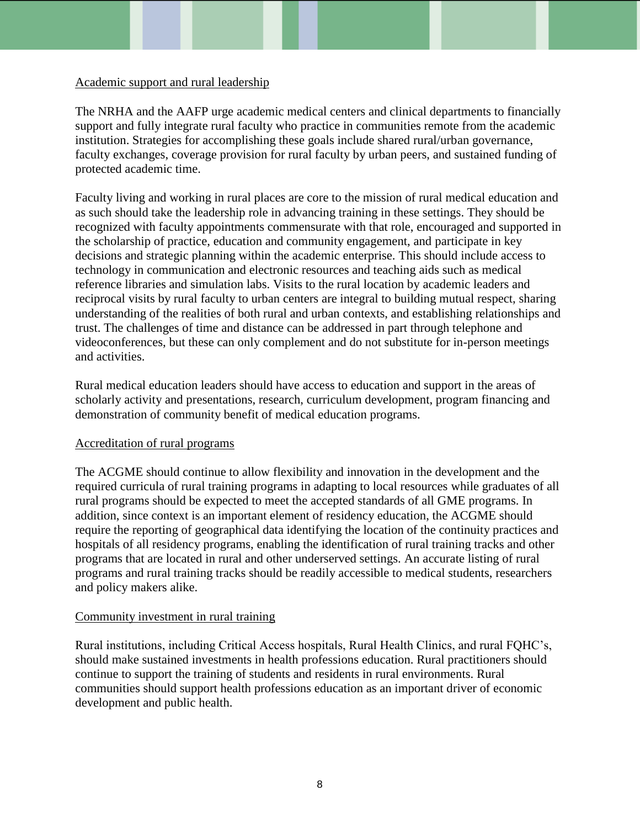#### Academic support and rural leadership

The NRHA and the AAFP urge academic medical centers and clinical departments to financially support and fully integrate rural faculty who practice in communities remote from the academic institution. Strategies for accomplishing these goals include shared rural/urban governance, faculty exchanges, coverage provision for rural faculty by urban peers, and sustained funding of protected academic time.

Faculty living and working in rural places are core to the mission of rural medical education and as such should take the leadership role in advancing training in these settings. They should be recognized with faculty appointments commensurate with that role, encouraged and supported in the scholarship of practice, education and community engagement, and participate in key decisions and strategic planning within the academic enterprise. This should include access to technology in communication and electronic resources and teaching aids such as medical reference libraries and simulation labs. Visits to the rural location by academic leaders and reciprocal visits by rural faculty to urban centers are integral to building mutual respect, sharing understanding of the realities of both rural and urban contexts, and establishing relationships and trust. The challenges of time and distance can be addressed in part through telephone and videoconferences, but these can only complement and do not substitute for in-person meetings and activities.

Rural medical education leaders should have access to education and support in the areas of scholarly activity and presentations, research, curriculum development, program financing and demonstration of community benefit of medical education programs.

#### Accreditation of rural programs

The ACGME should continue to allow flexibility and innovation in the development and the required curricula of rural training programs in adapting to local resources while graduates of all rural programs should be expected to meet the accepted standards of all GME programs. In addition, since context is an important element of residency education, the ACGME should require the reporting of geographical data identifying the location of the continuity practices and hospitals of all residency programs, enabling the identification of rural training tracks and other programs that are located in rural and other underserved settings. An accurate listing of rural programs and rural training tracks should be readily accessible to medical students, researchers and policy makers alike.

#### Community investment in rural training

Rural institutions, including Critical Access hospitals, Rural Health Clinics, and rural FQHC's, should make sustained investments in health professions education. Rural practitioners should continue to support the training of students and residents in rural environments. Rural communities should support health professions education as an important driver of economic development and public health.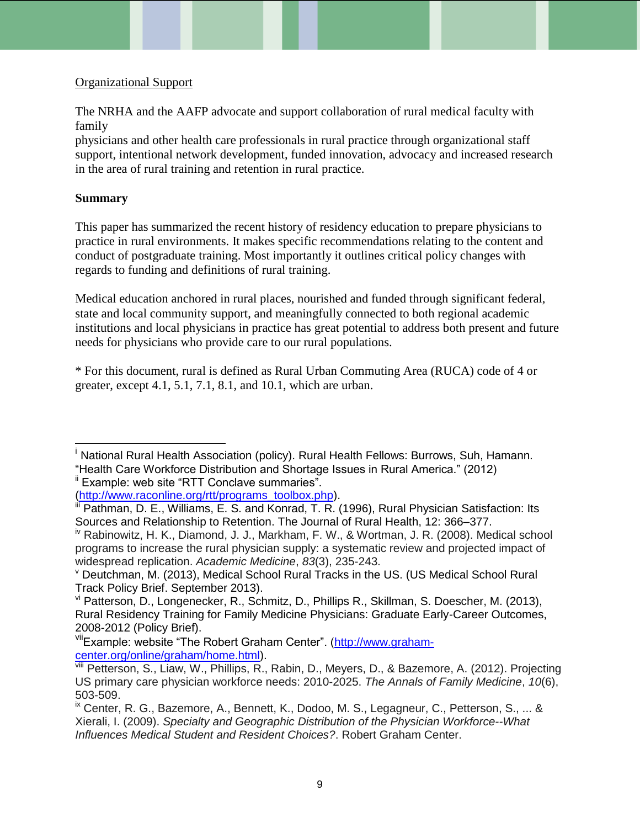## Organizational Support

The NRHA and the AAFP advocate and support collaboration of rural medical faculty with family

physicians and other health care professionals in rural practice through organizational staff support, intentional network development, funded innovation, advocacy and increased research in the area of rural training and retention in rural practice.

## **Summary**

This paper has summarized the recent history of residency education to prepare physicians to practice in rural environments. It makes specific recommendations relating to the content and conduct of postgraduate training. Most importantly it outlines critical policy changes with regards to funding and definitions of rural training.

Medical education anchored in rural places, nourished and funded through significant federal, state and local community support, and meaningfully connected to both regional academic institutions and local physicians in practice has great potential to address both present and future needs for physicians who provide care to our rural populations.

\* For this document, rural is defined as Rural Urban Commuting Area (RUCA) code of 4 or greater, except 4.1, 5.1, 7.1, 8.1, and 10.1, which are urban.

<sup>ii</sup> Example: web site "RTT Conclave summaries".

[\(http://www.raconline.org/rtt/programs\\_toolbox.php\)](http://www.raconline.org/rtt/programs_toolbox.php).

l <sup>i</sup> National Rural Health Association (policy). Rural Health Fellows: Burrows. Suh. Hamann. "Health Care Workforce Distribution and Shortage Issues in Rural America." (2012)

Pathman, D. E., Williams, E. S. and Konrad, T. R. (1996), Rural Physician Satisfaction: Its Sources and Relationship to Retention. The Journal of Rural Health, 12: 366–377.

<sup>&</sup>lt;sup>iv</sup> Rabinowitz, H. K., Diamond, J. J., Markham, F. W., & Wortman, J. R. (2008). Medical school programs to increase the rural physician supply: a systematic review and projected impact of widespread replication. *Academic Medicine*, *83*(3), 235-243.

<sup>v</sup> Deutchman, M. (2013), Medical School Rural Tracks in the US. (US Medical School Rural Track Policy Brief. September 2013).

vi Patterson, D., Longenecker, R., Schmitz, D., Phillips R., Skillman, S. Doescher, M. (2013), Rural Residency Training for Family Medicine Physicians: Graduate Early-Career Outcomes, 2008-2012 (Policy Brief).

viiExample: website "The Robert Graham Center". [\(http://www.graham](http://www.graham-center.org/online/graham/home.html)[center.org/online/graham/home.html\)](http://www.graham-center.org/online/graham/home.html).

viii Petterson, S., Liaw, W., Phillips, R., Rabin, D., Meyers, D., & Bazemore, A. (2012). Projecting US primary care physician workforce needs: 2010-2025. *The Annals of Family Medicine*, *10*(6), 503-509.

<sup>&</sup>lt;sup>ix</sup> Center, R. G., Bazemore, A., Bennett, K., Dodoo, M. S., Legagneur, C., Petterson, S., ... & Xierali, I. (2009). *Specialty and Geographic Distribution of the Physician Workforce--What Influences Medical Student and Resident Choices?*. Robert Graham Center.